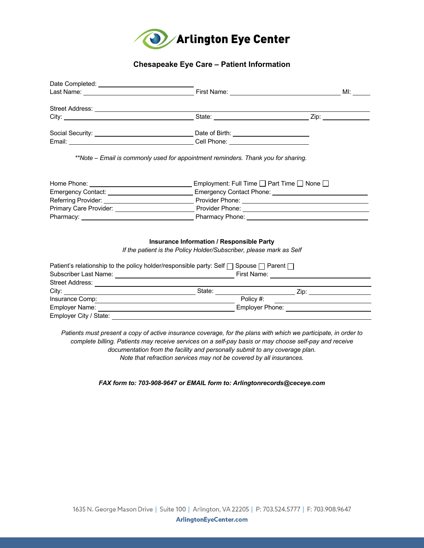

## **Chesapeake Eye Care – Patient Information**

| Emergency Contact: ________________________________Emergency Contact Phone: _________________________________ |  |  |  |  |  |
|---------------------------------------------------------------------------------------------------------------|--|--|--|--|--|
|                                                                                                               |  |  |  |  |  |
|                                                                                                               |  |  |  |  |  |
|                                                                                                               |  |  |  |  |  |
|                                                                                                               |  |  |  |  |  |
| <b>Insurance Information / Responsible Party</b>                                                              |  |  |  |  |  |
| If the patient is the Policy Holder/Subscriber, please mark as Self                                           |  |  |  |  |  |
| Patient's relationship to the policy holder/responsible party: Self $\Box$ Spouse $\Box$ Parent $\Box$        |  |  |  |  |  |
| First Name:                                                                                                   |  |  |  |  |  |

| <b>Street Address:</b> |        |                 |
|------------------------|--------|-----------------|
| City:                  | State: | Zip:            |
| Insurance Comp:        |        | Policy #:       |
| Employer Name:         |        | Employer Phone: |
| Employer City / State: |        |                 |

 *Patients must present a copy of active insurance coverage, for the plans with which we participate, in order to complete billing. Patients may receive services on a self-pay basis or may choose self-pay and receive documentation from the facility and personally submit to any coverage plan. Note that refraction services may not be covered by all insurances.* 

*FAX form to: 703-908-9647 or EMAIL form to: Arlingtonrecords@ceceye.com*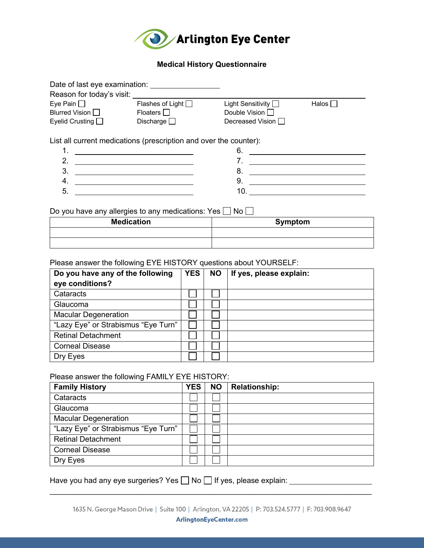

### **Medical History Questionnaire**

| Date of last eye examination: |                         |                          |                 |
|-------------------------------|-------------------------|--------------------------|-----------------|
| Reason for today's visit:     |                         |                          |                 |
| Eye Pain $\Box$               | Flashes of Light $\Box$ | Light Sensitivity $\Box$ | Halos $\square$ |
| Blurred Vision D              | Floaters $\Box$         | Double Vision $\Box$     |                 |
| Eyelid Crusting $\Box$        | Discharge $\Box$        | Decreased Vision □       |                 |
|                               |                         |                          |                 |

List all current medications (prescription and over the counter):

| . . |  |
|-----|--|
|     |  |
|     |  |
|     |  |
|     |  |

Do you have any allergies to any medications: Yes  $\Box$  No

| <b>Medication</b> | Symptom |
|-------------------|---------|
|                   |         |
|                   |         |

Please answer the following EYE HISTORY questions about YOURSELF:

| Do you have any of the following    | <b>YES</b> | <b>NO</b> | If yes, please explain: |
|-------------------------------------|------------|-----------|-------------------------|
| eye conditions?                     |            |           |                         |
| Cataracts                           |            |           |                         |
| Glaucoma                            |            |           |                         |
| <b>Macular Degeneration</b>         |            |           |                         |
| "Lazy Eye" or Strabismus "Eye Turn" |            |           |                         |
| <b>Retinal Detachment</b>           |            |           |                         |
| <b>Corneal Disease</b>              |            |           |                         |
| Dry Eyes                            |            |           |                         |

## Please answer the following FAMILY EYE HISTORY:

| <b>Family History</b>               | <b>YES</b> | <b>NO</b> | <b>Relationship:</b> |
|-------------------------------------|------------|-----------|----------------------|
| Cataracts                           |            |           |                      |
| Glaucoma                            |            |           |                      |
| <b>Macular Degeneration</b>         |            |           |                      |
| "Lazy Eye" or Strabismus "Eye Turn" |            |           |                      |
| <b>Retinal Detachment</b>           |            |           |                      |
| <b>Corneal Disease</b>              |            |           |                      |
| Dry Eyes                            |            |           |                      |

Have you had any eye surgeries? Yes  $\Box$  No  $\Box$  If yes, please explain:

 $\mathcal{L}_\text{max} = \mathcal{L}_\text{max} = \mathcal{L}_\text{max} = \mathcal{L}_\text{max} = \mathcal{L}_\text{max} = \mathcal{L}_\text{max} = \mathcal{L}_\text{max} = \mathcal{L}_\text{max} = \mathcal{L}_\text{max} = \mathcal{L}_\text{max} = \mathcal{L}_\text{max} = \mathcal{L}_\text{max} = \mathcal{L}_\text{max} = \mathcal{L}_\text{max} = \mathcal{L}_\text{max} = \mathcal{L}_\text{max} = \mathcal{L}_\text{max} = \mathcal{L}_\text{max} = \mathcal{$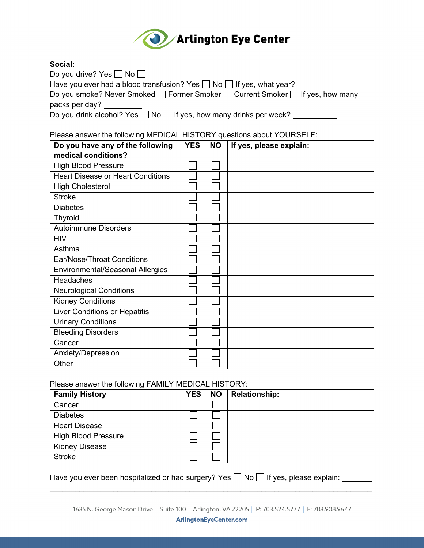

## **Social:**

| Do you drive? Yes $\Box$ No $\Box$                                             |
|--------------------------------------------------------------------------------|
| Have you ever had a blood transfusion? Yes $\Box$ No $\Box$ If yes, what year? |
| Do you smoke? Never Smoked □ Former Smoker □ Current Smoker □ If yes, how many |
| packs per day?                                                                 |
| Do you drink alcohol? Yes $\Box$ No $\Box$ If yes, how many drinks per week?   |

Please answer the following MEDICAL HISTORY questions about YOURSELF:

| Do you have any of the following         | <b>YES</b> | <b>NO</b> | If yes, please explain: |
|------------------------------------------|------------|-----------|-------------------------|
| medical conditions?                      |            |           |                         |
| <b>High Blood Pressure</b>               |            |           |                         |
| <b>Heart Disease or Heart Conditions</b> |            |           |                         |
| <b>High Cholesterol</b>                  |            |           |                         |
| <b>Stroke</b>                            |            |           |                         |
| <b>Diabetes</b>                          |            |           |                         |
| <b>Thyroid</b>                           |            |           |                         |
| <b>Autoimmune Disorders</b>              |            |           |                         |
| <b>HIV</b>                               |            |           |                         |
| Asthma                                   |            |           |                         |
| Ear/Nose/Throat Conditions               |            |           |                         |
| <b>Environmental/Seasonal Allergies</b>  |            |           |                         |
| <b>Headaches</b>                         |            |           |                         |
| <b>Neurological Conditions</b>           |            |           |                         |
| <b>Kidney Conditions</b>                 |            |           |                         |
| <b>Liver Conditions or Hepatitis</b>     |            |           |                         |
| <b>Urinary Conditions</b>                |            |           |                         |
| <b>Bleeding Disorders</b>                |            |           |                         |
| Cancer                                   |            |           |                         |
| Anxiety/Depression                       |            |           |                         |
| Other                                    |            |           |                         |

### Please answer the following FAMILY MEDICAL HISTORY:

| <b>Family History</b>      | <b>YES</b> | <b>NO</b> | <b>Relationship:</b> |
|----------------------------|------------|-----------|----------------------|
| Cancer                     |            |           |                      |
| <b>Diabetes</b>            |            |           |                      |
| <b>Heart Disease</b>       |            |           |                      |
| <b>High Blood Pressure</b> |            |           |                      |
| <b>Kidney Disease</b>      |            |           |                      |
| <b>Stroke</b>              |            |           |                      |

Have you ever been hospitalized or had surgery? Yes  $\Box$  No  $\Box$  If yes, please explain:

 $\mathcal{L}_\text{max} = \mathcal{L}_\text{max} = \mathcal{L}_\text{max} = \mathcal{L}_\text{max} = \mathcal{L}_\text{max} = \mathcal{L}_\text{max} = \mathcal{L}_\text{max} = \mathcal{L}_\text{max} = \mathcal{L}_\text{max} = \mathcal{L}_\text{max} = \mathcal{L}_\text{max} = \mathcal{L}_\text{max} = \mathcal{L}_\text{max} = \mathcal{L}_\text{max} = \mathcal{L}_\text{max} = \mathcal{L}_\text{max} = \mathcal{L}_\text{max} = \mathcal{L}_\text{max} = \mathcal{$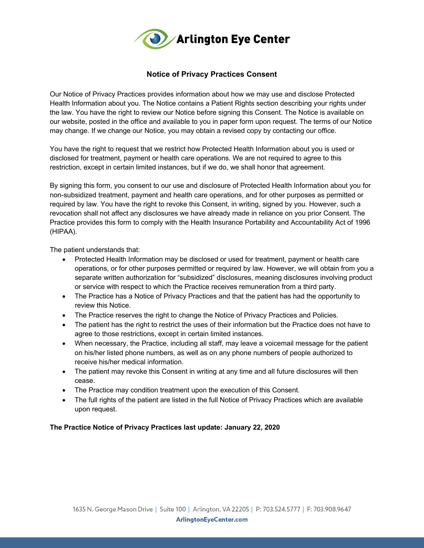

## **Notice of Privacy Practices Consent**

 Our Notice of Privacy Practices provides information about how we may use and disclose Protected Health Information about you. The Notice contains a Patient Rights section describing your rights under the law. You have the right to review our Notice before signing this Consent. The Notice is available on our website, posted in the office and available to you in paper form upon request. The terms of our Notice may change. If we change our Notice, you may obtain a revised copy by contacting our office.

 You have the right to request that we restrict how Protected Health Information about you is used or disclosed for treatment, payment or health care operations. We are not required to agree to this restriction, except in certain limited instances, but if we do, we shall honor that agreement.

 By signing this form, you consent to our use and disclosure of Protected Health Information about you for revocation shall not affect any disclosures we have already made in reliance on you prior Consent. The Practice provides this form to comply with the Health Insurance Portability and Accountability Act of 1996 non-subsidized treatment, payment and health care operations, and for other purposes as permitted or required by law. You have the right to revoke this Consent, in writing, signed by you. However, such a (HIPAA).

The patient understands that:

- • Protected Health Information may be disclosed or used for treatment, payment or health care operations, or for other purposes permitted or required by law. However, we will obtain from you a separate written authorization for "subsidized" disclosures, meaning disclosures involving product or service with respect to which the Practice receives remuneration from a third party.
- • The Practice has a Notice of Privacy Practices and that the patient has had the opportunity to review this Notice.
- The Practice reserves the right to change the Notice of Privacy Practices and Policies.
- • The patient has the right to restrict the uses of their information but the Practice does not have to agree to those restrictions, except in certain limited instances.
- • When necessary, the Practice, including all staff, may leave a voicemail message for the patient on his/her listed phone numbers, as well as on any phone numbers of people authorized to receive his/her medical information.
- The patient may revoke this Consent in writing at any time and all future disclosures will then cease.
- The Practice may condition treatment upon the execution of this Consent.
- • The full rights of the patient are listed in the full Notice of Privacy Practices which are available upon request.

#### **The Practice Notice of Privacy Practices last update: January 22, 2020**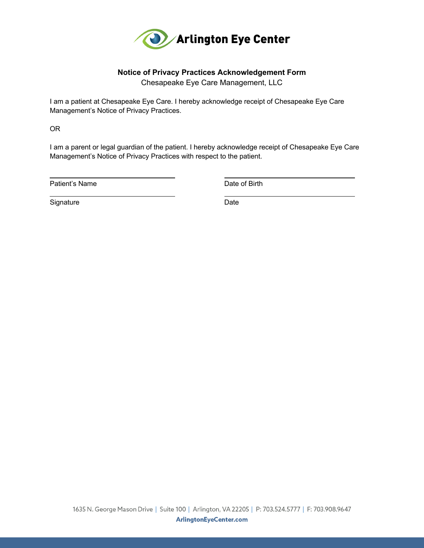

## **Notice of Privacy Practices Acknowledgement Form**

Chesapeake Eye Care Management, LLC

 Management's Notice of Privacy Practices. I am a patient at Chesapeake Eye Care. I hereby acknowledge receipt of Chesapeake Eye Care

OR

 $\overline{a}$ 

 I am a parent or legal guardian of the patient. I hereby acknowledge receipt of Chesapeake Eye Care Management's Notice of Privacy Practices with respect to the patient.

Patient's Name

Date of Birth

Signature Date **Date** 

 $\overline{a}$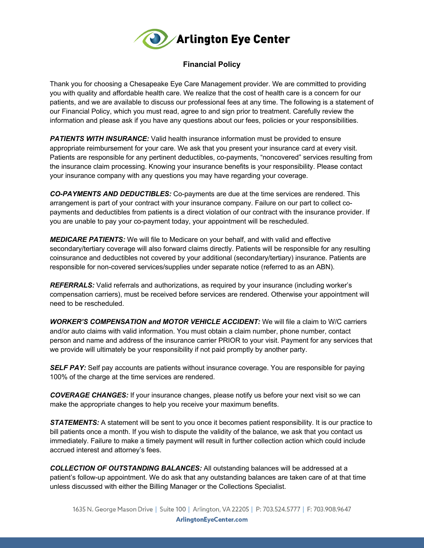

# **Financial Policy**

 Thank you for choosing a Chesapeake Eye Care Management provider. We are committed to providing you with quality and affordable health care. We realize that the cost of health care is a concern for our patients, and we are available to discuss our professional fees at any time. The following is a statement of our Financial Policy, which you must read, agree to and sign prior to treatment. Carefully review the information and please ask if you have any questions about our fees, policies or your responsibilities.

 *PATIENTS WITH INSURANCE:* Valid health insurance information must be provided to ensure appropriate reimbursement for your care. We ask that you present your insurance card at every visit. Patients are responsible for any pertinent deductibles, co-payments, "noncovered" services resulting from your insurance company with any questions you may have regarding your coverage. the insurance claim processing. Knowing your insurance benefits is your responsibility. Please contact

 *CO-PAYMENTS AND DEDUCTIBLES:* Co-payments are due at the time services are rendered. This arrangement is part of your contract with your insurance company. Failure on our part to collect co- payments and deductibles from patients is a direct violation of our contract with the insurance provider. If you are unable to pay your co-payment today, your appointment will be rescheduled.

 *MEDICARE PATIENTS:* We will file to Medicare on your behalf, and with valid and effective coinsurance and deductibles not covered by your additional (secondary/tertiary) insurance. Patients are secondary/tertiary coverage will also forward claims directly. Patients will be responsible for any resulting responsible for non-covered services/supplies under separate notice (referred to as an ABN).

 *REFERRALS:* Valid referrals and authorizations, as required by your insurance (including worker's compensation carriers), must be received before services are rendered. Otherwise your appointment will need to be rescheduled.

 *WORKER'S COMPENSATION and MOTOR VEHICLE ACCIDENT:* We will file a claim to W/C carriers and/or auto claims with valid information. You must obtain a claim number, phone number, contact person and name and address of the insurance carrier PRIOR to your visit. Payment for any services that we provide will ultimately be your responsibility if not paid promptly by another party.

**SELF PAY:** Self pay accounts are patients without insurance coverage. You are responsible for paying 100% of the charge at the time services are rendered.

 *COVERAGE CHANGES:* If your insurance changes, please notify us before your next visit so we can make the appropriate changes to help you receive your maximum benefits.

**STATEMENTS:** A statement will be sent to you once it becomes patient responsibility. It is our practice to bill patients once a month. If you wish to dispute the validity of the balance, we ask that you contact us immediately. Failure to make a timely payment will result in further collection action which could include accrued interest and attorney's fees.

 patient's follow-up appointment. We do ask that any outstanding balances are taken care of at that time unless discussed with either the Billing Manager or the Collections Specialist. *COLLECTION OF OUTSTANDING BALANCES:* All outstanding balances will be addressed at a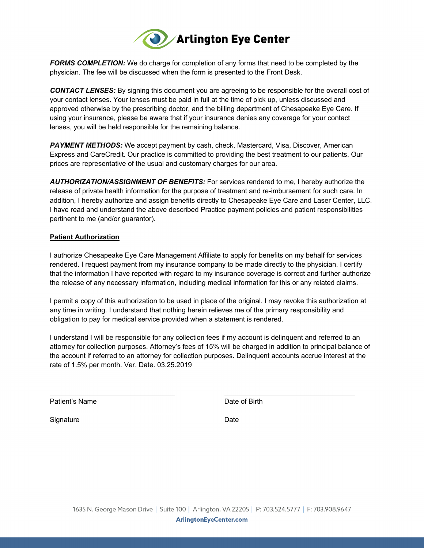

 *FORMS COMPLETION:* We do charge for completion of any forms that need to be completed by the physician. The fee will be discussed when the form is presented to the Front Desk.

 *CONTACT LENSES:* By signing this document you are agreeing to be responsible for the overall cost of your contact lenses. Your lenses must be paid in full at the time of pick up, unless discussed and approved otherwise by the prescribing doctor, and the billing department of Chesapeake Eye Care. If using your insurance, please be aware that if your insurance denies any coverage for your contact lenses, you will be held responsible for the remaining balance.

 *PAYMENT METHODS:* We accept payment by cash, check, Mastercard, Visa, Discover, American Express and CareCredit. Our practice is committed to providing the best treatment to our patients. Our prices are representative of the usual and customary charges for our area.

 *AUTHORIZATION/ASSIGNMENT OF BENEFITS:* For services rendered to me, I hereby authorize the release of private health information for the purpose of treatment and re-imbursement for such care. In addition, I hereby authorize and assign benefits directly to Chesapeake Eye Care and Laser Center, LLC. I have read and understand the above described Practice payment policies and patient responsibilities pertinent to me (and/or guarantor).

#### **Patient Authorization**

 I authorize Chesapeake Eye Care Management Affiliate to apply for benefits on my behalf for services rendered. I request payment from my insurance company to be made directly to the physician. I certify that the information I have reported with regard to my insurance coverage is correct and further authorize the release of any necessary information, including medical information for this or any related claims.

 I permit a copy of this authorization to be used in place of the original. I may revoke this authorization at obligation to pay for medical service provided when a statement is rendered. any time in writing. I understand that nothing herein relieves me of the primary responsibility and

 I understand I will be responsible for any collection fees if my account is delinquent and referred to an attorney for collection purposes. Attorney's fees of 15% will be charged in addition to principal balance of the account if referred to an attorney for collection purposes. Delinquent accounts accrue interest at the rate of 1.5% per month. Ver. Date. 03.25.2019

Patient's Name

Date of Birth

Signature Date **Date** 

 $\ddot{\phantom{a}}$ 

 $\ddot{\phantom{a}}$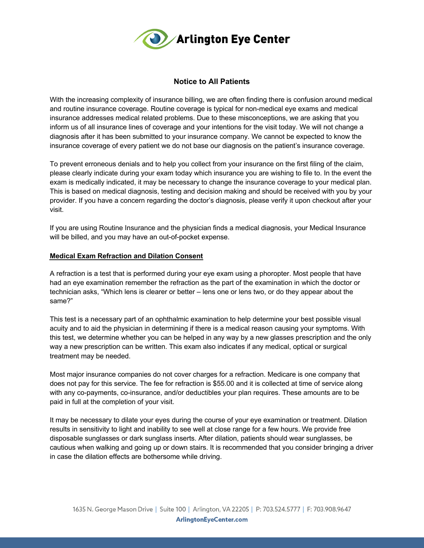

### **Notice to All Patients**

 With the increasing complexity of insurance billing, we are often finding there is confusion around medical and routine insurance coverage. Routine coverage is typical for non-medical eye exams and medical inform us of all insurance lines of coverage and your intentions for the visit today. We will not change a diagnosis after it has been submitted to your insurance company. We cannot be expected to know the insurance coverage of every patient we do not base our diagnosis on the patient's insurance coverage. insurance addresses medical related problems. Due to these misconceptions, we are asking that you

 To prevent erroneous denials and to help you collect from your insurance on the first filing of the claim, please clearly indicate during your exam today which insurance you are wishing to file to. In the event the exam is medically indicated, it may be necessary to change the insurance coverage to your medical plan. This is based on medical diagnosis, testing and decision making and should be received with you by your provider. If you have a concern regarding the doctor's diagnosis, please verify it upon checkout after your visit.

 If you are using Routine Insurance and the physician finds a medical diagnosis, your Medical Insurance will be billed, and you may have an out-of-pocket expense.

### **Medical Exam Refraction and Dilation Consent**

 A refraction is a test that is performed during your eye exam using a phoropter. Most people that have had an eye examination remember the refraction as the part of the examination in which the doctor or technician asks, "Which lens is clearer or better – lens one or lens two, or do they appear about the same?"

 This test is a necessary part of an ophthalmic examination to help determine your best possible visual acuity and to aid the physician in determining if there is a medical reason causing your symptoms. With this test, we determine whether you can be helped in any way by a new glasses prescription and the only way a new prescription can be written. This exam also indicates if any medical, optical or surgical treatment may be needed.

 Most major insurance companies do not cover charges for a refraction. Medicare is one company that does not pay for this service. The fee for refraction is \$55.00 and it is collected at time of service along with any co-payments, co-insurance, and/or deductibles your plan requires. These amounts are to be paid in full at the completion of your visit.

 It may be necessary to dilate your eyes during the course of your eye examination or treatment. Dilation results in sensitivity to light and inability to see well at close range for a few hours. We provide free disposable sunglasses or dark sunglass inserts. After dilation, patients should wear sunglasses, be cautious when walking and going up or down stairs. It is recommended that you consider bringing a driver in case the dilation effects are bothersome while driving.